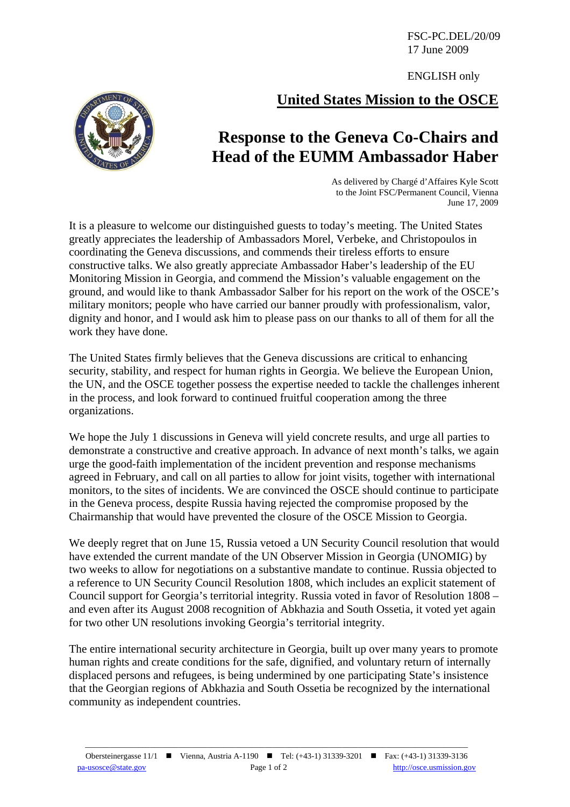FSC-PC.DEL/20/09 17 June 2009

ENGLISH only

## **United States Mission to the OSCE**



## **Response to the Geneva Co-Chairs and Head of the EUMM Ambassador Haber**

As delivered by Chargé d'Affaires Kyle Scott to the Joint FSC/Permanent Council, Vienna June 17, 2009

It is a pleasure to welcome our distinguished guests to today's meeting. The United States greatly appreciates the leadership of Ambassadors Morel, Verbeke, and Christopoulos in coordinating the Geneva discussions, and commends their tireless efforts to ensure constructive talks. We also greatly appreciate Ambassador Haber's leadership of the EU Monitoring Mission in Georgia, and commend the Mission's valuable engagement on the ground, and would like to thank Ambassador Salber for his report on the work of the OSCE's military monitors; people who have carried our banner proudly with professionalism, valor, dignity and honor, and I would ask him to please pass on our thanks to all of them for all the work they have done.

The United States firmly believes that the Geneva discussions are critical to enhancing security, stability, and respect for human rights in Georgia. We believe the European Union, the UN, and the OSCE together possess the expertise needed to tackle the challenges inherent in the process, and look forward to continued fruitful cooperation among the three organizations.

We hope the July 1 discussions in Geneva will yield concrete results, and urge all parties to demonstrate a constructive and creative approach. In advance of next month's talks, we again urge the good-faith implementation of the incident prevention and response mechanisms agreed in February, and call on all parties to allow for joint visits, together with international monitors, to the sites of incidents. We are convinced the OSCE should continue to participate in the Geneva process, despite Russia having rejected the compromise proposed by the Chairmanship that would have prevented the closure of the OSCE Mission to Georgia.

We deeply regret that on June 15, Russia vetoed a UN Security Council resolution that would have extended the current mandate of the UN Observer Mission in Georgia (UNOMIG) by two weeks to allow for negotiations on a substantive mandate to continue. Russia objected to a reference to UN Security Council Resolution 1808, which includes an explicit statement of Council support for Georgia's territorial integrity. Russia voted in favor of Resolution 1808 – and even after its August 2008 recognition of Abkhazia and South Ossetia, it voted yet again for two other UN resolutions invoking Georgia's territorial integrity.

The entire international security architecture in Georgia, built up over many years to promote human rights and create conditions for the safe, dignified, and voluntary return of internally displaced persons and refugees, is being undermined by one participating State's insistence that the Georgian regions of Abkhazia and South Ossetia be recognized by the international community as independent countries.